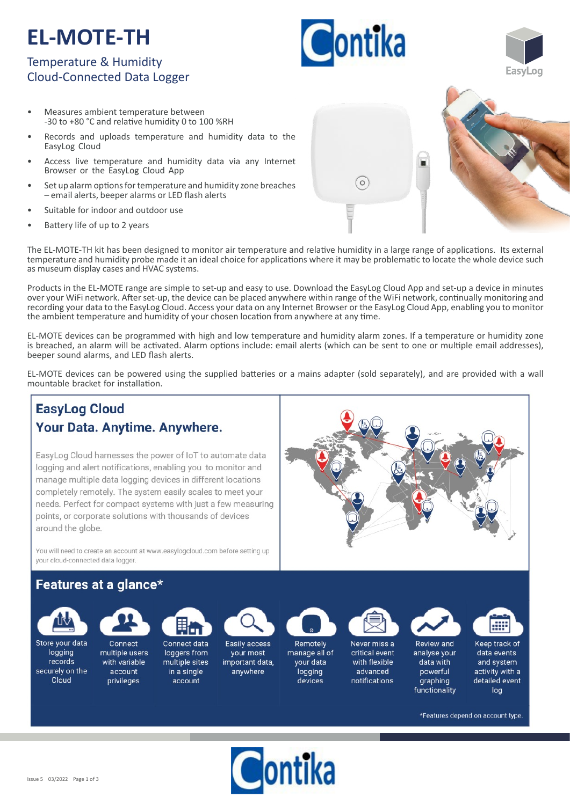# **EL-MOTE-TH**

### Temperature & Humidity Cloud-Connected Data Logger

- Measures ambient temperature between -30 to +80 °C and relative humidity 0 to 100 %RH
- Records and uploads temperature and humidity data to the EasyLog Cloud
- Access live temperature and humidity data via any Internet Browser or the EasyLog Cloud App
- Set up alarm options for temperature and humidity zone breaches – email alerts, beeper alarms or LED flash alerts
- Suitable for indoor and outdoor use
- Battery life of up to 2 years

The EL-MOTE-TH kit has been designed to monitor air temperature and relative humidity in a large range of applications. Its external temperature and humidity probe made it an ideal choice for applications where it may be problematic to locate the whole device such as museum display cases and HVAC systems.

Products in the EL-MOTE range are simple to set-up and easy to use. Download the EasyLog Cloud App and set-up a device in minutes over your WiFi network. After set-up, the device can be placed anywhere within range of the WiFi network, continually monitoring and recording your data to the EasyLog Cloud. Access your data on any Internet Browser or the EasyLog Cloud App, enabling you to monitor the ambient temperature and humidity of your chosen location from anywhere at any time.

EL‐MOTE devices can be programmed with high and low temperature and humidity alarm zones. If a temperature or humidity zone is breached, an alarm will be activated. Alarm options include: email alerts (which can be sent to one or multiple email addresses), beeper sound alarms, and LED flash alerts.

EL-MOTE devices can be powered using the supplied batteries or a mains adapter (sold separately), and are provided with a wall mountable bracket for installation.

#### **EasyLog Cloud** Your Data. Anytime. Anywhere. EasyLog Cloud harnesses the power of IoT to automate data logging and alert notifications, enabling you to monitor and manage multiple data logging devices in different locations completely remotely. The system easily scales to meet your needs. Perfect for compact systems with just a few measuring points, or corporate solutions with thousands of devices around the globe. You will need to create an account at www.easylogcloud.com before setting up your cloud-connected data logger. Features at a glance\* Store your data Connect Connect data Easily access Remotely Never miss a Review and Keep track of logging multiple users loggers from manage all of critical event data events vour most analyse your records with variable multiple sites important data, your data with flexible data with and system securely on the account advanced powerful activity with a in a single anvwhere logging Cloud notifications detailed event privileges account devices graphing functionality log \*Features depend on account type.







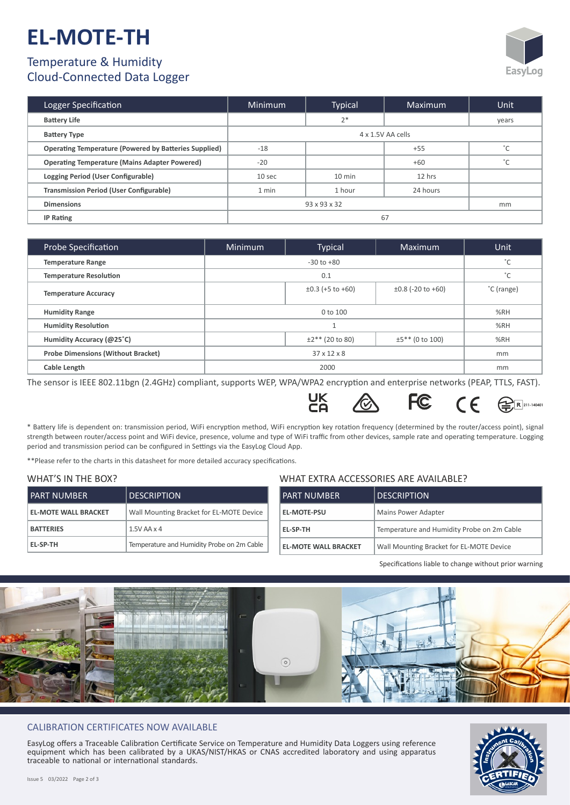# **EL-MOTE-TH**

## Temperature & Humidity



**211-140401**

### Cloud-Connected Data Logger

| Logger Specification                                         | Minimum            | Typical  | Maximum  | Unit                  |  |
|--------------------------------------------------------------|--------------------|----------|----------|-----------------------|--|
| <b>Battery Life</b>                                          |                    | $2*$     |          | years                 |  |
| <b>Battery Type</b>                                          | 4 x 1.5V AA cells  |          |          |                       |  |
| <b>Operating Temperature (Powered by Batteries Supplied)</b> | $-18$              |          | $+55$    | $\mathcal{L}^{\circ}$ |  |
| <b>Operating Temperature (Mains Adapter Powered)</b>         | $-20$              |          | $+60$    | $\circ$               |  |
| Logging Period (User Configurable)                           | 10 sec             | $10$ min | 12 hrs   |                       |  |
| <b>Transmission Period (User Configurable)</b>               | 1 min              | 1 hour   | 24 hours |                       |  |
| <b>Dimensions</b>                                            | 93 x 93 x 32<br>mm |          |          |                       |  |
| <b>IP Rating</b>                                             | 67                 |          |          |                       |  |

| Probe Specification                       | Minimum                 | <b>Typical</b>        | Maximum                | Unit          |
|-------------------------------------------|-------------------------|-----------------------|------------------------|---------------|
| <b>Temperature Range</b>                  | $-30$ to $+80$          |                       |                        | °C            |
| <b>Temperature Resolution</b>             | 0.1                     |                       |                        | $\mathcal{C}$ |
| <b>Temperature Accuracy</b>               |                         | $\pm 0.3$ (+5 to +60) | $\pm 0.8$ (-20 to +60) | °C (range)    |
| <b>Humidity Range</b>                     | 0 to 100                |                       |                        | %RH           |
| <b>Humidity Resolution</b>                |                         |                       |                        | %RH           |
| Humidity Accuracy (@25°C)                 |                         | $±2**$ (20 to 80)     | $±5**$ (0 to 100)      | %RH           |
| <b>Probe Dimensions (Without Bracket)</b> | $37 \times 12 \times 8$ |                       |                        | mm            |
| <b>Cable Length</b>                       | 2000                    |                       |                        | mm            |

The sensor is IEEE 802.11bgn (2.4GHz) compliant, supports WEP, WPA/WPA2 encryption and enterprise networks (PEAP, TTLS, FAST).

UK<br>CA

\* Battery life is dependent on: transmission period, WiFi encryption method, WiFi encryption key rotation frequency (determined by the router/access point), signal strength between router/access point and WiFi device, presence, volume and type of WiFi traffic from other devices, sample rate and operating temperature. Logging period and transmission period can be configured in Settings via the EasyLog Cloud App.

WHAT EXTRA ACCESSORIES ARE AVAILABLE?

**FC** 

\*\*Please refer to the charts in this datasheet for more detailed accuracy specifications.

#### WHAT'S IN THE BOX?

| *********************       |                                            |                             |                                            |  |  |
|-----------------------------|--------------------------------------------|-----------------------------|--------------------------------------------|--|--|
| I PART NUMBER               | <b>DESCRIPTION</b>                         | <b>PART NUMBER</b>          | <b>DESCRIPTION</b>                         |  |  |
| <b>EL-MOTE WALL BRACKET</b> | Wall Mounting Bracket for EL-MOTE Device   | <b>EL-MOTE-PSU</b>          | Mains Power Adapter                        |  |  |
| <b>BATTERIES</b>            | $1.5V$ AA $\times$ 4                       | EL-SP-TH                    | Temperature and Humidity Probe on 2m Cable |  |  |
| EL-SP-TH                    | Temperature and Humidity Probe on 2m Cable | <b>EL-MOTE WALL BRACKET</b> | Wall Mounting Bracket for EL-MOTE Device   |  |  |

Specifications liable to change without prior warning

 $\epsilon$ 



#### CALIBRATION CERTIFICATES NOW AVAILABLE

EasyLog offers a Traceable Calibration Certificate Service on Temperature and Humidity Data Loggers using reference equipment which has been calibrated by a UKAS/NIST/HKAS or CNAS accredited laboratory and using apparatus traceable to national or international standards.